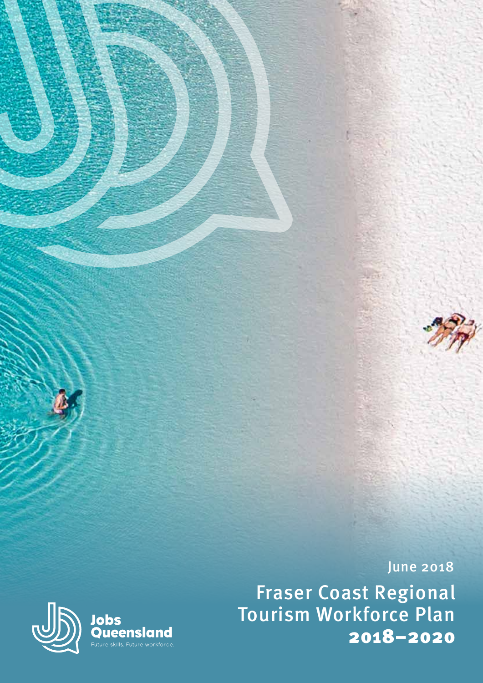

June 2018

Fraser Coast Regional Tourism Workforce Plan 2018–2020

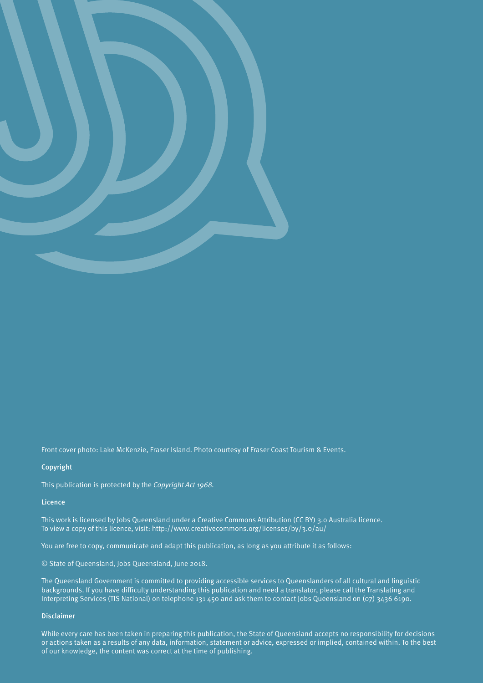

Front cover photo: Lake McKenzie, Fraser Island. Photo courtesy of Fraser Coast Tourism & Events.

#### Copyright

This publication is protected by the *Copyright Act 1968.*

#### Licence

This work is licensed by Jobs Queensland under a Creative Commons Attribution (CC BY) 3.o Australia licence. To view a copy of this licence, visit: http://www.creativecommons.org/licenses/by/3.0/au/

You are free to copy, communicate and adapt this publication, as long as you attribute it as follows:

© State of Queensland, Jobs Queensland, June 2018.

The Queensland Government is committed to providing accessible services to Queenslanders of all cultural and linguistic backgrounds. If you have difficulty understanding this publication and need a translator, please call the Translating and Interpreting Services (TIS National) on telephone 131 450 and ask them to contact Jobs Queensland on (07) 3436 6190.

#### Disclaimer

While every care has been taken in preparing this publication, the State of Queensland accepts no responsibility for decisions or actions taken as a results of any data, information, statement or advice, expressed or implied, contained within. To the best of our knowledge, the content was correct at the time of publishing.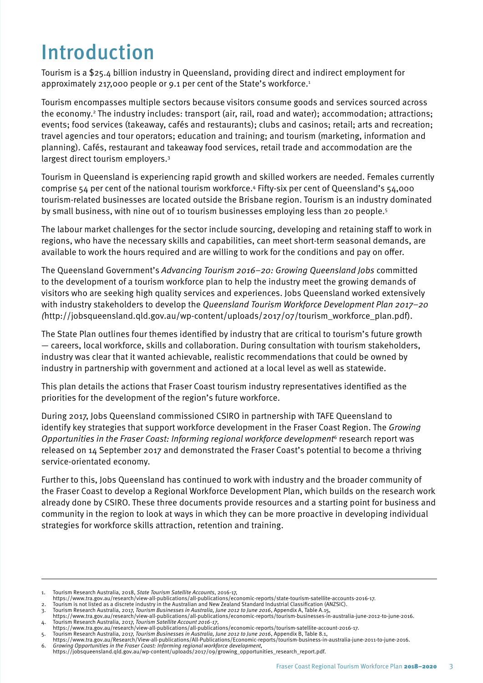## Introduction

Tourism is a \$25.4 billion industry in Queensland, providing direct and indirect employment for approximately 217,000 people or 9.1 per cent of the State's workforce.<sup>1</sup>

Tourism encompasses multiple sectors because visitors consume goods and services sourced across the economy.2 The industry includes: transport (air, rail, road and water); accommodation; attractions; events; food services (takeaway, cafés and restaurants); clubs and casinos; retail; arts and recreation; travel agencies and tour operators; education and training; and tourism (marketing, information and planning). Cafés, restaurant and takeaway food services, retail trade and accommodation are the largest direct tourism employers.<sup>3</sup>

Tourism in Queensland is experiencing rapid growth and skilled workers are needed. Females currently comprise 54 per cent of the national tourism workforce.4 Fifty-six per cent of Queensland's 54,000 tourism-related businesses are located outside the Brisbane region. Tourism is an industry dominated by small business, with nine out of 10 tourism businesses employing less than 20 people.<sup>5</sup>

The labour market challenges for the sector include sourcing, developing and retaining staff to work in regions, who have the necessary skills and capabilities, can meet short-term seasonal demands, are available to work the hours required and are willing to work for the conditions and pay on offer.

The Queensland Government's *Advancing Tourism 2016–20: Growing Queensland Jobs* committed to the development of a tourism workforce plan to help the industry meet the growing demands of visitors who are seeking high quality services and experiences. Jobs Queensland worked extensively with industry stakeholders to develop the *Queensland Tourism Workforce Development Plan 2017–20 (*http://jobsqueensland.qld.gov.au/wp-content/uploads/2017/07/tourism\_workforce\_plan.pdf).

The State Plan outlines four themes identified by industry that are critical to tourism's future growth — careers, local workforce, skills and collaboration. During consultation with tourism stakeholders, industry was clear that it wanted achievable, realistic recommendations that could be owned by industry in partnership with government and actioned at a local level as well as statewide.

This plan details the actions that Fraser Coast tourism industry representatives identified as the priorities for the development of the region's future workforce.

During 2017, Jobs Queensland commissioned CSIRO in partnership with TAFE Queensland to identify key strategies that support workforce development in the Fraser Coast Region. The *Growing Opportunities in the Fraser Coast: Informing regional workforce development*6 research report was released on 14 September 2017 and demonstrated the Fraser Coast's potential to become a thriving service-orientated economy.

Further to this, Jobs Queensland has continued to work with industry and the broader community of the Fraser Coast to develop a Regional Workforce Development Plan, which builds on the research work already done by CSIRO. These three documents provide resources and a starting point for business and community in the region to look at ways in which they can be more proactive in developing individual strategies for workforce skills attraction, retention and training.

<sup>1.</sup> Tourism Research Australia, 2018, *State Tourism Satellite Accounts*, 2016-17, https://www.tra.gov.au/research/view-all-publications/all-publications/economic-reports/state-tourism-satellite-accounts-2016-17.

<sup>2.</sup> Tourism is not listed as a discrete industry in the Australian and New Zealand Standard Industrial Classification (ANZSIC). 3. Tourism Research Australia, 2017, *Tourism Businesses in Australia, June 2012 to June 2016*, Appendix A, Table A.15,

https://www.tra.gov.au/research/view-all-publications/all-publications/economic-reports/tourism-businesses-in-australia-june-2012-to-june-2016. 4. Tourism Research Australia, 2017, *Tourism Satellite Account 2016-17*,

https://www.tra.gov.au/research/view-all-publications/all-publications/economic-reports/tourism-satellite-account-2016-17.

<sup>5.</sup> Tourism Research Australia, 2017, *Tourism Businesses in Australia, June 2012 to June 2016*, Appendix B, Table 8.1,<br>https://www.tra.gov.au/Research/View-all-publications/All-Publications/Economic-reports/tourism-busines

<sup>6.</sup> *Growing Opportunities in the Fraser Coast: Informing regional workforce development,*  https://jobsqueensland.qld.gov.au/wp-content/uploads/2017/09/growing\_opportunities\_research\_report.pdf.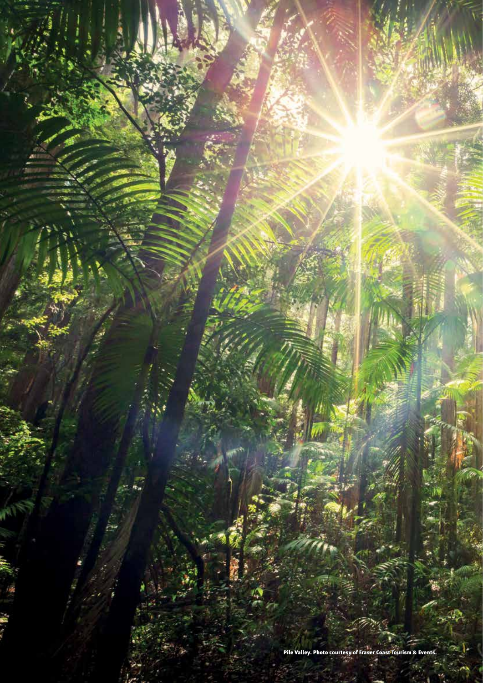Pile Valley. Photo courtesy of Fraser Coast Tourism & Events.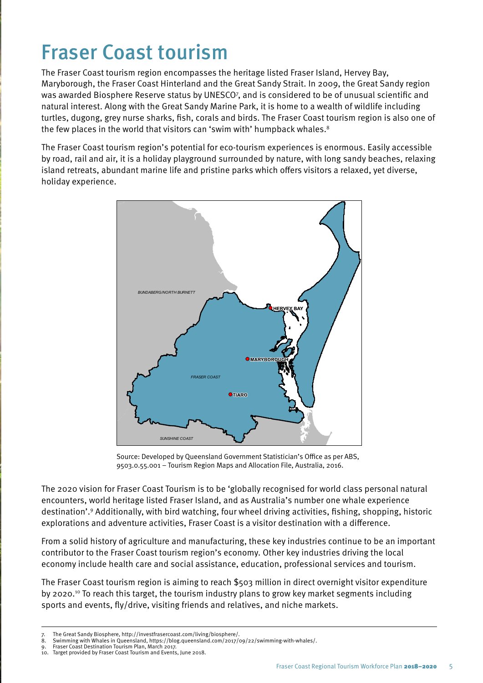## Fraser Coast tourism

The Fraser Coast tourism region encompasses the heritage listed Fraser Island, Hervey Bay, Maryborough, the Fraser Coast Hinterland and the Great Sandy Strait. In 2009, the Great Sandy region was awarded Biosphere Reserve status by UNESCO7 , and is considered to be of unusual scientific and natural interest. Along with the Great Sandy Marine Park, it is home to a wealth of wildlife including turtles, dugong, grey nurse sharks, fish, corals and birds. The Fraser Coast tourism region is also one of the few places in the world that visitors can 'swim with' humpback whales.<sup>8</sup>

The Fraser Coast tourism region's potential for eco-tourism experiences is enormous. Easily accessible by road, rail and air, it is a holiday playground surrounded by nature, with long sandy beaches, relaxing island retreats, abundant marine life and pristine parks which offers visitors a relaxed, yet diverse, holiday experience.



Source: Developed by Queensland Government Statistician's Office as per ABS, 9503.0.55.001 – Tourism Region Maps and Allocation File, Australia, 2016.

The 2020 vision for Fraser Coast Tourism is to be 'globally recognised for world class personal natural encounters, world heritage listed Fraser Island, and as Australia's number one whale experience destination'.9 Additionally, with bird watching, four wheel driving activities, fishing, shopping, historic explorations and adventure activities, Fraser Coast is a visitor destination with a difference.

From a solid history of agriculture and manufacturing, these key industries continue to be an important contributor to the Fraser Coast tourism region's economy. Other key industries driving the local economy include health care and social assistance, education, professional services and tourism.

The Fraser Coast tourism region is aiming to reach \$503 million in direct overnight visitor expenditure by 2020.10 To reach this target, the tourism industry plans to grow key market segments including sports and events, fly/drive, visiting friends and relatives, and niche markets.

9. Fraser Coast Destination Tourism Plan, March 2017.

<sup>7.</sup> The Great Sandy Biosphere, http://investfrasercoast.com/living/biosphere/. 8. Swimming with Whales in Queensland, https://blog.queensland.com/2017/09/22/swimming-with-whales/.

<sup>10.</sup> Target provided by Fraser Coast Tourism and Events, June 2018.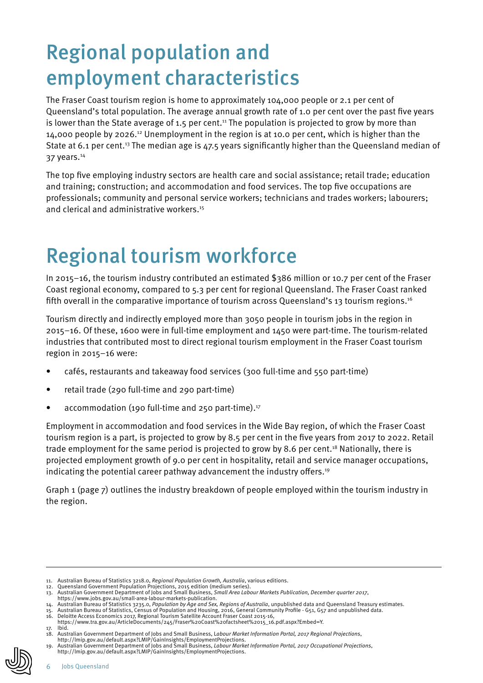# Regional population and employment characteristics

The Fraser Coast tourism region is home to approximately 104,000 people or 2.1 per cent of Queensland's total population. The average annual growth rate of 1.0 per cent over the past five years is lower than the State average of 1.5 per cent.<sup>11</sup> The population is projected to grow by more than 14,000 people by 2026.12 Unemployment in the region is at 10.0 per cent, which is higher than the State at 6.1 per cent.<sup>13</sup> The median age is 47.5 years significantly higher than the Queensland median of 37 years.14

The top five employing industry sectors are health care and social assistance; retail trade; education and training; construction; and accommodation and food services. The top five occupations are professionals; community and personal service workers; technicians and trades workers; labourers; and clerical and administrative workers.<sup>15</sup>

# Regional tourism workforce

In 2015–16, the tourism industry contributed an estimated \$386 million or 10.7 per cent of the Fraser Coast regional economy, compared to 5.3 per cent for regional Queensland. The Fraser Coast ranked fifth overall in the comparative importance of tourism across Queensland's 13 tourism regions.16

Tourism directly and indirectly employed more than 3050 people in tourism jobs in the region in 2015–16. Of these, 1600 were in full-time employment and 1450 were part-time. The tourism-related industries that contributed most to direct regional tourism employment in the Fraser Coast tourism region in 2015–16 were:

- cafés, restaurants and takeaway food services (300 full-time and 550 part-time)
- retail trade (290 full-time and 290 part-time)
- accommodation (190 full-time and 250 part-time).<sup>17</sup>

Employment in accommodation and food services in the Wide Bay region, of which the Fraser Coast tourism region is a part, is projected to grow by 8.5 per cent in the five years from 2017 to 2022. Retail trade employment for the same period is projected to grow by 8.6 per cent.18 Nationally, there is projected employment growth of 9.0 per cent in hospitality, retail and service manager occupations, indicating the potential career pathway advancement the industry offers.<sup>19</sup>

Graph 1 (page 7) outlines the industry breakdown of people employed within the tourism industry in the region.

<sup>11.</sup> Australian Bureau of Statistics 3218.0, *Regional Population Growth, Australia*, various editions.

Queensland Government Population Projections, 2015 edition (medium series)

<sup>13.</sup> Australian Government Department of Jobs and Small Business, *Small Area Labour Markets Publication, December quarter 2017*, https://www.jobs.gov.au/small-area-labour-markets-publication.

<sup>14.</sup> Australian Bureau of Statistics 3235.0, *Population by Age and Sex, Regions of Australia*, unpublished data and Queensland Treasury estimates.<br>15. Australian Bureau of Statistics, Census of Population and Housing,

https://www.tra.gov.au/ArticleDocuments/245/Fraser%20Coast%20factsheet%2015\_16.pdf.aspx?Embed=Y.

<sup>17.</sup> Ibid.

<sup>18.</sup> Australian Government Department of Jobs and Small Business, L*abour Market Information Portal, 2017 Regional Projections*, http://lmip.gov.au/default.aspx?LMIP/GainInsights/EmploymentProjections.

<sup>19.</sup> Australian Government Department of Jobs and Small Business, *Labour Market Information Portal, 2017 Occupational Projections*, http://lmip.gov.au/default.aspx?LMIP/GainInsights/EmploymentProjections.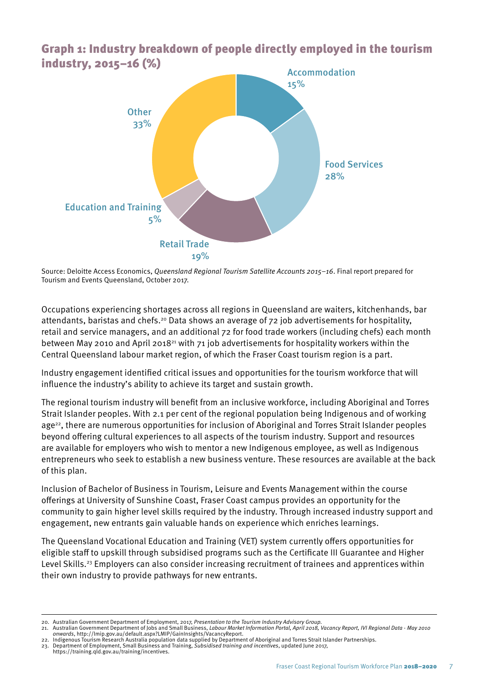

Graph 1: Industry breakdown of people directly employed in the tourism industry, 2015–16 (%)

Source: Deloitte Access Economics, *Queensland Regional Tourism Satellite Accounts 2015–16*. Final report prepared for Tourism and Events Queensland, October 2017.

Occupations experiencing shortages across all regions in Queensland are waiters, kitchenhands, bar attendants, baristas and chefs.<sup>20</sup> Data shows an average of 72 job advertisements for hospitality, retail and service managers, and an additional 72 for food trade workers (including chefs) each month between May 2010 and April 2018<sup>21</sup> with 71 job advertisements for hospitality workers within the Central Queensland labour market region, of which the Fraser Coast tourism region is a part.

Industry engagement identified critical issues and opportunities for the tourism workforce that will influence the industry's ability to achieve its target and sustain growth.

The regional tourism industry will benefit from an inclusive workforce, including Aboriginal and Torres Strait Islander peoples. With 2.1 per cent of the regional population being Indigenous and of working age<sup>22</sup>, there are numerous opportunities for inclusion of Aboriginal and Torres Strait Islander peoples beyond offering cultural experiences to all aspects of the tourism industry. Support and resources are available for employers who wish to mentor a new Indigenous employee, as well as Indigenous entrepreneurs who seek to establish a new business venture. These resources are available at the back of this plan.

Inclusion of Bachelor of Business in Tourism, Leisure and Events Management within the course offerings at University of Sunshine Coast, Fraser Coast campus provides an opportunity for the community to gain higher level skills required by the industry. Through increased industry support and engagement, new entrants gain valuable hands on experience which enriches learnings.

The Queensland Vocational Education and Training (VET) system currently offers opportunities for eligible staff to upskill through subsidised programs such as the Certificate III Guarantee and Higher Level Skills.<sup>23</sup> Employers can also consider increasing recruitment of trainees and apprentices within their own industry to provide pathways for new entrants.

23. Department of Employment, Small Business and Training, *Subsidised training and incentives*, updated June 2017, https://training.qld.gov.au/training/incentives.

<sup>20.</sup> Australian Government Department of Employment, 2017, *Presentation to the Tourism Industry Advisory Group.*

<sup>21.</sup> Australian Government Department of Jobs and Small Business, *Labour Market Information Portal, April 2018, Vacancy Report, IVI Regional Data - May 2010 onwards*, http://lmip.gov.au/default.aspx?LMIP/GainInsights/VacancyReport. 22. Indigenous Tourism Research Australia population data supplied by Department of Aboriginal and Torres Strait Islander Partnerships.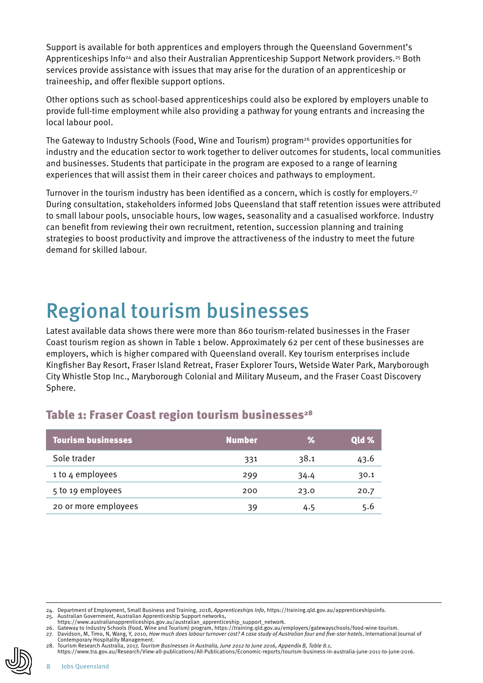Support is available for both apprentices and employers through the Queensland Government's Apprenticeships Info<sup>24</sup> and also their Australian Apprenticeship Support Network providers.<sup>25</sup> Both services provide assistance with issues that may arise for the duration of an apprenticeship or traineeship, and offer flexible support options.

Other options such as school-based apprenticeships could also be explored by employers unable to provide full-time employment while also providing a pathway for young entrants and increasing the local labour pool.

The Gateway to Industry Schools (Food, Wine and Tourism) program<sup>26</sup> provides opportunities for industry and the education sector to work together to deliver outcomes for students, local communities and businesses. Students that participate in the program are exposed to a range of learning experiences that will assist them in their career choices and pathways to employment.

Turnover in the tourism industry has been identified as a concern, which is costly for employers.<sup>27</sup> During consultation, stakeholders informed Jobs Queensland that staff retention issues were attributed to small labour pools, unsociable hours, low wages, seasonality and a casualised workforce. Industry can benefit from reviewing their own recruitment, retention, succession planning and training strategies to boost productivity and improve the attractiveness of the industry to meet the future demand for skilled labour.

## Regional tourism businesses

Latest available data shows there were more than 860 tourism-related businesses in the Fraser Coast tourism region as shown in Table 1 below. Approximately 62 per cent of these businesses are employers, which is higher compared with Queensland overall. Key tourism enterprises include Kingfisher Bay Resort, Fraser Island Retreat, Fraser Explorer Tours, Wetside Water Park, Maryborough City Whistle Stop Inc., Maryborough Colonial and Military Museum, and the Fraser Coast Discovery Sphere.

### Table 1: Fraser Coast region tourism businesses<sup>28</sup>

| <b>Tourism businesses</b> | <b>Number</b> | ℅    | Qld % |
|---------------------------|---------------|------|-------|
| Sole trader               | 331           | 38.1 | 43.6  |
| 1 to 4 employees          | 299           | 34.4 | 30.1  |
| 5 to 19 employees         | 200           | 23.0 | 20.7  |
| 20 or more employees      | 39            | 4.5  | 5.6   |

https://www.tra.gov.au/Research/View-all-publications/All-Publications/Economic-reports/tourism-business-in-australia-june-2011-to-june-2016.

<sup>24.</sup> Department of Employment, Small Business and Training, 2018, *Apprenticeships Info*, https://training.qld.gov.au/apprenticeshipsinfo.

<sup>25.</sup> Australian Government, Australian Apprenticeship Support networks, https://www.australianapprenticeships.gov.au/australian\_apprenticeship\_support\_network.

<sup>26.</sup> Gateway to Industry Schools (Food, Wine and Tourism) program, https://training.qld.gov.au/employers/gatewayschools/food-wine-tourism. 27. Davidson, M, Timo, N, Wang, Y, 2010, *How much does labour turnover cost? A case study of Australian four and five-star hotels*, International Journal of<br>Contemporary Hospitality Management.<br>28. Tourism Research Au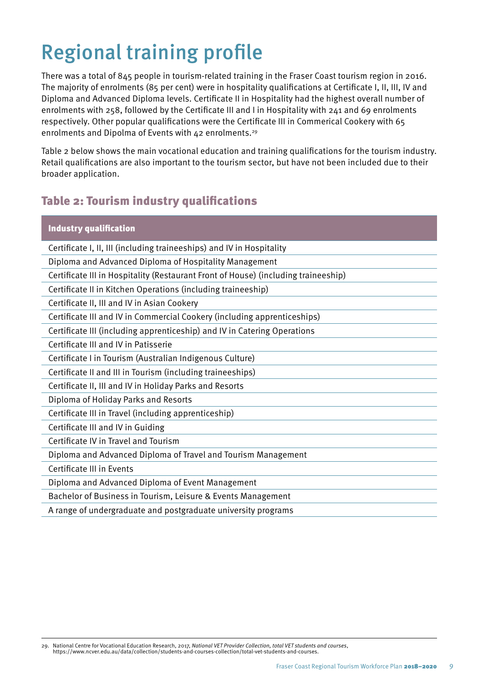# Regional training profile

There was a total of 845 people in tourism-related training in the Fraser Coast tourism region in 2016. The majority of enrolments (85 per cent) were in hospitality qualifications at Certificate I, II, III, IV and Diploma and Advanced Diploma levels. Certificate II in Hospitality had the highest overall number of enrolments with 258, followed by the Certificate III and I in Hospitality with 241 and 69 enrolments respectively. Other popular qualifications were the Certificate III in Commerical Cookery with 65 enrolments and Dipolma of Events with 42 enrolments.<sup>29</sup>

Table 2 below shows the main vocational education and training qualifications for the tourism industry. Retail qualifications are also important to the tourism sector, but have not been included due to their broader application.

## Table 2: Tourism industry qualifications

| <b>Industry qualification</b>                                                      |
|------------------------------------------------------------------------------------|
| Certificate I, II, III (including traineeships) and IV in Hospitality              |
| Diploma and Advanced Diploma of Hospitality Management                             |
| Certificate III in Hospitality (Restaurant Front of House) (including traineeship) |
| Certificate II in Kitchen Operations (including traineeship)                       |
| Certificate II, III and IV in Asian Cookery                                        |
| Certificate III and IV in Commercial Cookery (including apprenticeships)           |
| Certificate III (including apprenticeship) and IV in Catering Operations           |
| Certificate III and IV in Patisserie                                               |
| Certificate I in Tourism (Australian Indigenous Culture)                           |
| Certificate II and III in Tourism (including traineeships)                         |
| Certificate II, III and IV in Holiday Parks and Resorts                            |
| Diploma of Holiday Parks and Resorts                                               |
| Certificate III in Travel (including apprenticeship)                               |
| Certificate III and IV in Guiding                                                  |
| Certificate IV in Travel and Tourism                                               |
| Diploma and Advanced Diploma of Travel and Tourism Management                      |
| Certificate III in Events                                                          |
| Diploma and Advanced Diploma of Event Management                                   |
| Bachelor of Business in Tourism, Leisure & Events Management                       |
| A range of undergraduate and postgraduate university programs                      |

29. National Centre for Vocational Education Research, 2017, *National VET Provider Collection, total VET students and courses*, https://www.ncver.edu.au/data/collection/students-and-courses-collection/total-vet-students-and-courses.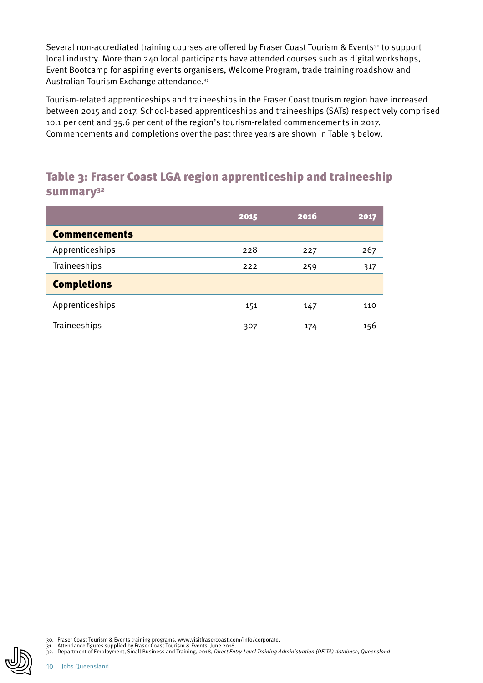Several non-accrediated training courses are offered by Fraser Coast Tourism & Events<sup>30</sup> to support local industry. More than 240 local participants have attended courses such as digital workshops, Event Bootcamp for aspiring events organisers, Welcome Program, trade training roadshow and Australian Tourism Exchange attendance.31

Tourism-related apprenticeships and traineeships in the Fraser Coast tourism region have increased between 2015 and 2017. School-based apprenticeships and traineeships (SATs) respectively comprised 10.1 per cent and 35.6 per cent of the region's tourism-related commencements in 2017. Commencements and completions over the past three years are shown in Table 3 below.

## Table 3: Fraser Coast LGA region apprenticeship and traineeship summary<sup>32</sup>

|                      | 2015 | 2016 | 2017 |
|----------------------|------|------|------|
| <b>Commencements</b> |      |      |      |
| Apprenticeships      | 228  | 227  | 267  |
| Traineeships         | 222  | 259  | 317  |
| <b>Completions</b>   |      |      |      |
| Apprenticeships      | 151  | 147  | 110  |
| Traineeships         | 307  | 174  | 156  |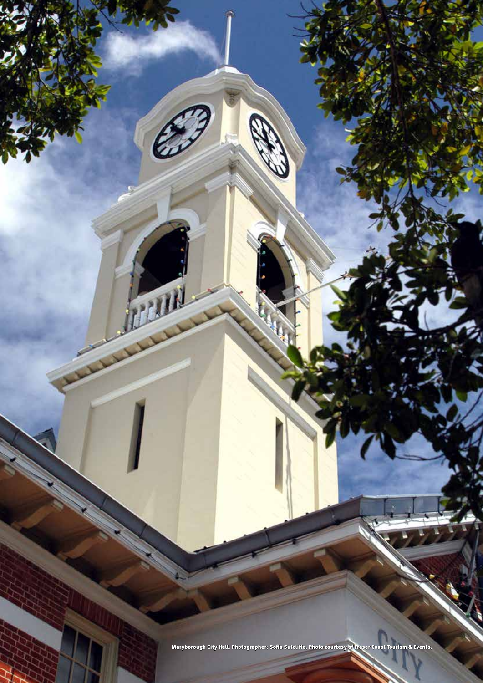Maryborough City Hall. Photographer: Sofia Sutcliffe. Photo courtesy of Fraser Coast Tourism & Events.

 $\sqrt{1}$ 

Fraser Coast Regional Tourism Workforce Plan 2018–2020 11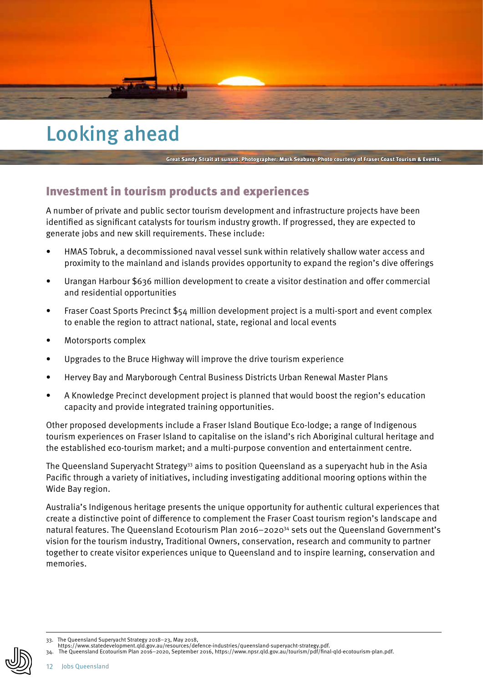

## Looking ahead

#### Great Sandy Strait at sunset. Photographer: Mark Seabury. Photo courtesy of Fraser Coast Tourism & Events.

### Investment in tourism products and experiences

A number of private and public sector tourism development and infrastructure projects have been identified as significant catalysts for tourism industry growth. If progressed, they are expected to generate jobs and new skill requirements. These include:

- HMAS Tobruk, a decommissioned naval vessel sunk within relatively shallow water access and proximity to the mainland and islands provides opportunity to expand the region's dive offerings
- Urangan Harbour \$636 million development to create a visitor destination and offer commercial and residential opportunities
- Fraser Coast Sports Precinct \$54 million development project is a multi-sport and event complex to enable the region to attract national, state, regional and local events
- Motorsports complex
- Upgrades to the Bruce Highway will improve the drive tourism experience
- Hervey Bay and Maryborough Central Business Districts Urban Renewal Master Plans
- A Knowledge Precinct development project is planned that would boost the region's education capacity and provide integrated training opportunities.

Other proposed developments include a Fraser Island Boutique Eco-lodge; a range of Indigenous tourism experiences on Fraser Island to capitalise on the island's rich Aboriginal cultural heritage and the established eco-tourism market; and a multi-purpose convention and entertainment centre.

The Queensland Superyacht Strategy<sup>33</sup> aims to position Queensland as a superyacht hub in the Asia Pacific through a variety of initiatives, including investigating additional mooring options within the Wide Bay region.

Australia's Indigenous heritage presents the unique opportunity for authentic cultural experiences that create a distinctive point of difference to complement the Fraser Coast tourism region's landscape and natural features. The Queensland Ecotourism Plan 2016–202034 sets out the Queensland Government's vision for the tourism industry, Traditional Owners, conservation, research and community to partner together to create visitor experiences unique to Queensland and to inspire learning, conservation and memories.

<sup>33.</sup> The Queensland Superyacht Strategy 2018–23, May 2018, https://www.statedevelopment.qld.gov.au/resources/defence-industries/queensland-superyacht-strategy.pdf.

<sup>34.</sup> The Queensland Ecotourism Plan 2016–2020, September 2016, https://www.npsr.qld.gov.au/tourism/pdf/final-qld-ecotourism-plan.pdf.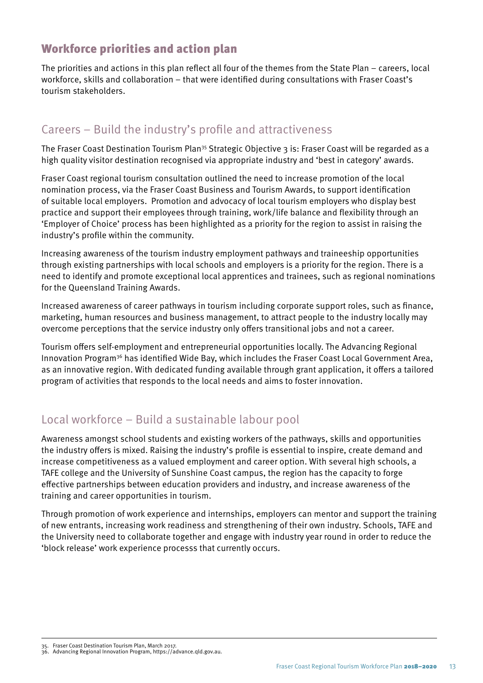## Workforce priorities and action plan

The priorities and actions in this plan reflect all four of the themes from the State Plan – careers, local workforce, skills and collaboration – that were identified during consultations with Fraser Coast's tourism stakeholders.

## Careers – Build the industry's profile and attractiveness

The Fraser Coast Destination Tourism Plan35 Strategic Objective 3 is: Fraser Coast will be regarded as a high quality visitor destination recognised via appropriate industry and 'best in category' awards.

Fraser Coast regional tourism consultation outlined the need to increase promotion of the local nomination process, via the Fraser Coast Business and Tourism Awards, to support identification of suitable local employers. Promotion and advocacy of local tourism employers who display best practice and support their employees through training, work/life balance and flexibility through an 'Employer of Choice' process has been highlighted as a priority for the region to assist in raising the industry's profile within the community.

Increasing awareness of the tourism industry employment pathways and traineeship opportunities through existing partnerships with local schools and employers is a priority for the region. There is a need to identify and promote exceptional local apprentices and trainees, such as regional nominations for the Queensland Training Awards.

Increased awareness of career pathways in tourism including corporate support roles, such as finance, marketing, human resources and business management, to attract people to the industry locally may overcome perceptions that the service industry only offers transitional jobs and not a career.

Tourism offers self-employment and entrepreneurial opportunities locally. The Advancing Regional Innovation Program<sup>36</sup> has identified Wide Bay, which includes the Fraser Coast Local Government Area, as an innovative region. With dedicated funding available through grant application, it offers a tailored program of activities that responds to the local needs and aims to foster innovation.

## Local workforce – Build a sustainable labour pool

Awareness amongst school students and existing workers of the pathways, skills and opportunities the industry offers is mixed. Raising the industry's profile is essential to inspire, create demand and increase competitiveness as a valued employment and career option. With several high schools, a TAFE college and the University of Sunshine Coast campus, the region has the capacity to forge effective partnerships between education providers and industry, and increase awareness of the training and career opportunities in tourism.

Through promotion of work experience and internships, employers can mentor and support the training of new entrants, increasing work readiness and strengthening of their own industry. Schools, TAFE and the University need to collaborate together and engage with industry year round in order to reduce the 'block release' work experience processs that currently occurs.

Fraser Coast Destination Tourism Plan, March 2017.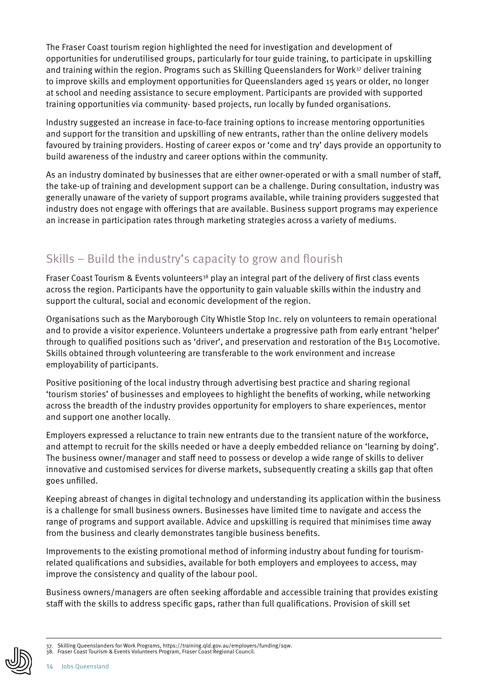The Fraser Coast tourism region highlighted the need for investigation and development of opportunities for underutilised groups, particularly for tour guide training, to participate in upskilling and training within the region. Programs such as Skilling Queenslanders for Work37 deliver training to improve skills and employment opportunities for Queenslanders aged 15 years or older, no longer at school and needing assistance to secure employment. Participants are provided with supported training opportunities via community- based projects, run locally by funded organisations.

Industry suggested an increase in face-to-face training options to increase mentoring opportunities and support for the transition and upskilling of new entrants, rather than the online delivery models favoured by training providers. Hosting of career expos or 'come and try' days provide an opportunity to build awareness of the industry and career options within the community.

As an industry dominated by businesses that are either owner-operated or with a small number of staff, the take-up of training and development support can be a challenge. During consultation, industry was generally unaware of the variety of support programs available, while training providers suggested that industry does not engage with offerings that are available. Business support programs may experience an increase in participation rates through marketing strategies across a variety of mediums.

## Skills – Build the industry's capacity to grow and flourish

Fraser Coast Tourism & Events volunteers<sup>38</sup> play an integral part of the delivery of first class events across the region. Participants have the opportunity to gain valuable skills within the industry and support the cultural, social and economic development of the region.

Organisations such as the Maryborough City Whistle Stop Inc. rely on volunteers to remain operational and to provide a visitor experience. Volunteers undertake a progressive path from early entrant 'helper' through to qualified positions such as 'driver', and preservation and restoration of the B15 Locomotive. Skills obtained through volunteering are transferable to the work environment and increase employability of participants.

Positive positioning of the local industry through advertising best practice and sharing regional 'tourism stories' of businesses and employees to highlight the benefits of working, while networking across the breadth of the industry provides opportunity for employers to share experiences, mentor and support one another locally.

Employers expressed a reluctance to train new entrants due to the transient nature of the workforce, and attempt to recruit for the skills needed or have a deeply embedded reliance on 'learning by doing'. The business owner/manager and staff need to possess or develop a wide range of skills to deliver innovative and customised services for diverse markets, subsequently creating a skills gap that often goes unfilled.

Keeping abreast of changes in digital technology and understanding its application within the business is a challenge for small business owners. Businesses have limited time to navigate and access the range of programs and support available. Advice and upskilling is required that minimises time away from the business and clearly demonstrates tangible business benefits.

Improvements to the existing promotional method of informing industry about funding for tourismrelated qualifications and subsidies, available for both employers and employees to access, may improve the consistency and quality of the labour pool.

Business owners/managers are often seeking affordable and accessible training that provides existing staff with the skills to address specific gaps, rather than full qualifications. Provision of skill set

<sup>37.</sup> Skilling Queenslanders for Work Programs, https://training.qld.gov.au/employers/funding/sqw.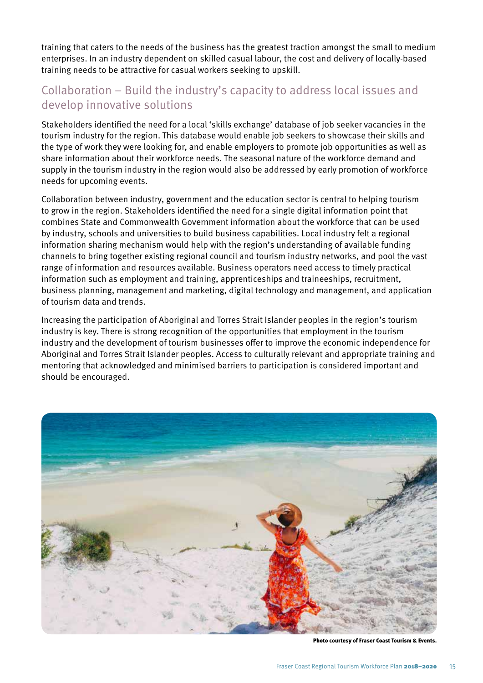training that caters to the needs of the business has the greatest traction amongst the small to medium enterprises. In an industry dependent on skilled casual labour, the cost and delivery of locally-based training needs to be attractive for casual workers seeking to upskill.

## Collaboration – Build the industry's capacity to address local issues and develop innovative solutions

Stakeholders identified the need for a local 'skills exchange' database of job seeker vacancies in the tourism industry for the region. This database would enable job seekers to showcase their skills and the type of work they were looking for, and enable employers to promote job opportunities as well as share information about their workforce needs. The seasonal nature of the workforce demand and supply in the tourism industry in the region would also be addressed by early promotion of workforce needs for upcoming events.

Collaboration between industry, government and the education sector is central to helping tourism to grow in the region. Stakeholders identified the need for a single digital information point that combines State and Commonwealth Government information about the workforce that can be used by industry, schools and universities to build business capabilities. Local industry felt a regional information sharing mechanism would help with the region's understanding of available funding channels to bring together existing regional council and tourism industry networks, and pool the vast range of information and resources available. Business operators need access to timely practical information such as employment and training, apprenticeships and traineeships, recruitment, business planning, management and marketing, digital technology and management, and application of tourism data and trends.

Increasing the participation of Aboriginal and Torres Strait Islander peoples in the region's tourism industry is key. There is strong recognition of the opportunities that employment in the tourism industry and the development of tourism businesses offer to improve the economic independence for Aboriginal and Torres Strait Islander peoples. Access to culturally relevant and appropriate training and mentoring that acknowledged and minimised barriers to participation is considered important and should be encouraged.



Photo courtesy of Fraser Coast Tourism & Events.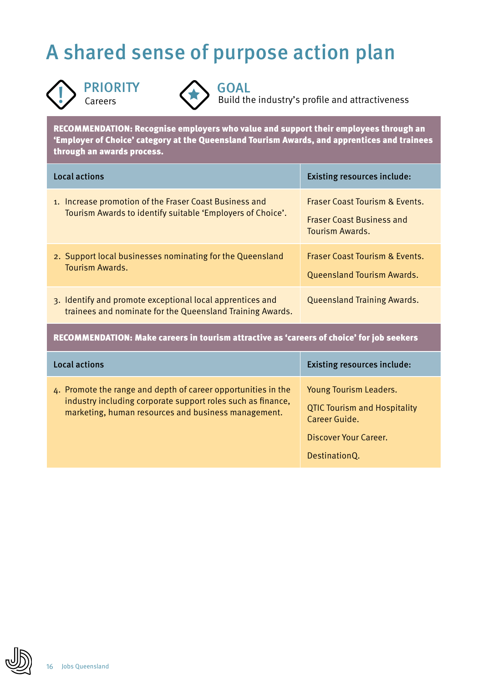# A shared sense of purpose action plan





**PRIORITY**<br>Careers **Careers** Build the industry's profile and attractiveness

RECOMMENDATION: Recognise employers who value and support their employees through an 'Employer of Choice' category at the Queensland Tourism Awards, and apprentices and trainees through an awards process.

| Local actions                                                                                                          | <b>Existing resources include:</b>                                                               |
|------------------------------------------------------------------------------------------------------------------------|--------------------------------------------------------------------------------------------------|
| 1. Increase promotion of the Fraser Coast Business and<br>Tourism Awards to identify suitable 'Employers of Choice'.   | <b>Fraser Coast Tourism &amp; Events.</b><br><b>Fraser Coast Business and</b><br>Tourism Awards. |
| 2. Support local businesses nominating for the Queensland<br>Tourism Awards.                                           | <b>Fraser Coast Tourism &amp; Events.</b><br><b>Queensland Tourism Awards.</b>                   |
| 3. Identify and promote exceptional local apprentices and<br>trainees and nominate for the Queensland Training Awards. | <b>Queensland Training Awards.</b>                                                               |

RECOMMENDATION: Make careers in tourism attractive as 'careers of choice' for job seekers

| Local actions                                                                                                                                                                       | <b>Existing resources include:</b>                                                                                              |
|-------------------------------------------------------------------------------------------------------------------------------------------------------------------------------------|---------------------------------------------------------------------------------------------------------------------------------|
| 4. Promote the range and depth of career opportunities in the<br>industry including corporate support roles such as finance,<br>marketing, human resources and business management. | <b>Young Tourism Leaders.</b><br><b>QTIC Tourism and Hospitality</b><br>Career Guide.<br>Discover Your Career.<br>DestinationQ. |

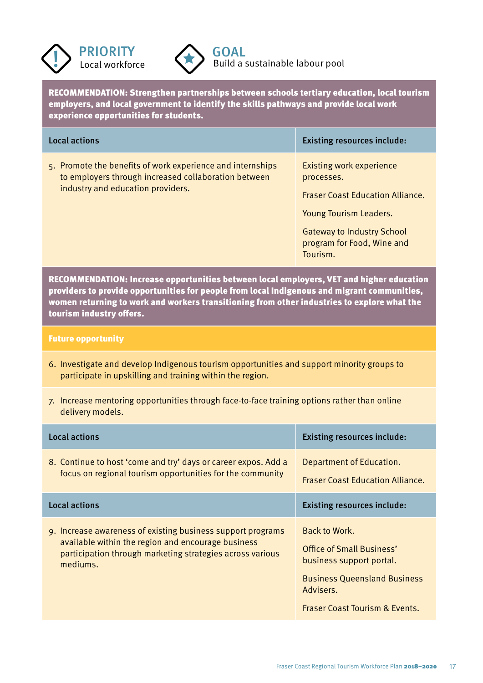



RECOMMENDATION: Strengthen partnerships between schools tertiary education, local tourism employers, and local government to identify the skills pathways and provide local work experience opportunities for students.

| Local actions                                                                                                                                           | <b>Existing resources include:</b>                                                                                                                                                                       |
|---------------------------------------------------------------------------------------------------------------------------------------------------------|----------------------------------------------------------------------------------------------------------------------------------------------------------------------------------------------------------|
| 5. Promote the benefits of work experience and internships<br>to employers through increased collaboration between<br>industry and education providers. | <b>Existing work experience</b><br>processes.<br><b>Fraser Coast Education Alliance.</b><br><b>Young Tourism Leaders.</b><br><b>Gateway to Industry School</b><br>program for Food, Wine and<br>Tourism. |

RECOMMENDATION: Increase opportunities between local employers, VET and higher education providers to provide opportunities for people from local Indigenous and migrant communities, women returning to work and workers transitioning from other industries to explore what the tourism industry offers.

#### Future opportunity

- 6. Investigate and develop Indigenous tourism opportunities and support minority groups to participate in upskilling and training within the region.
- 7. Increase mentoring opportunities through face-to-face training options rather than online delivery models.

| Local actions                                                                                                                                                                              | <b>Existing resources include:</b>                                                                                                                                      |
|--------------------------------------------------------------------------------------------------------------------------------------------------------------------------------------------|-------------------------------------------------------------------------------------------------------------------------------------------------------------------------|
| 8. Continue to host 'come and try' days or career expos. Add a<br>focus on regional tourism opportunities for the community                                                                | Department of Education.<br><b>Fraser Coast Education Alliance.</b>                                                                                                     |
| Local actions                                                                                                                                                                              | <b>Existing resources include:</b>                                                                                                                                      |
| 9. Increase awareness of existing business support programs<br>available within the region and encourage business<br>participation through marketing strategies across various<br>mediums. | Back to Work.<br>Office of Small Business'<br>business support portal.<br><b>Business Queensland Business</b><br>Advisers.<br><b>Fraser Coast Tourism &amp; Events.</b> |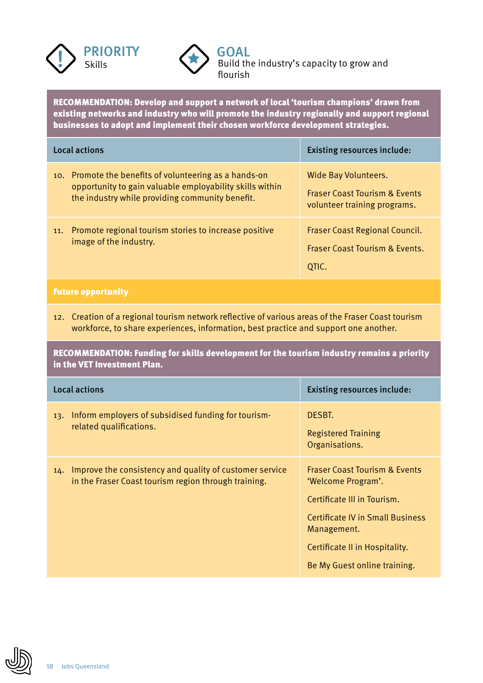



**PRIORITY Solution** Skills Skills **Solution** Build the industry's capacity to grow and flourish

RECOMMENDATION: Develop and support a network of local 'tourism champions' drawn from existing networks and industry who will promote the industry regionally and support regional businesses to adopt and implement their chosen workforce development strategies.

| <b>Local actions</b> |                                                                                                                                                                       | <b>Existing resources include:</b>                                                               |
|----------------------|-----------------------------------------------------------------------------------------------------------------------------------------------------------------------|--------------------------------------------------------------------------------------------------|
|                      | 10. Promote the benefits of volunteering as a hands-on<br>opportunity to gain valuable employability skills within<br>the industry while providing community benefit. | Wide Bay Volunteers.<br><b>Fraser Coast Tourism &amp; Events</b><br>volunteer training programs. |
| 11.                  | Promote regional tourism stories to increase positive<br>image of the industry.                                                                                       | <b>Fraser Coast Regional Council.</b><br><b>Fraser Coast Tourism &amp; Events.</b><br>QTIC.      |

### Future opportunity

12. Creation of a regional tourism network reflective of various areas of the Fraser Coast tourism workforce, to share experiences, information, best practice and support one another.

RECOMMENDATION: Funding for skills development for the tourism industry remains a priority in the VET Investment Plan.

|     | Local actions                                                                                                   | <b>Existing resources include:</b>                                                                                                                                                                                        |
|-----|-----------------------------------------------------------------------------------------------------------------|---------------------------------------------------------------------------------------------------------------------------------------------------------------------------------------------------------------------------|
| 13. | Inform employers of subsidised funding for tourism-<br>related qualifications.                                  | DESBT.<br><b>Registered Training</b><br>Organisations.                                                                                                                                                                    |
| 14. | Improve the consistency and quality of customer service<br>in the Fraser Coast tourism region through training. | <b>Fraser Coast Tourism &amp; Events</b><br>'Welcome Program'.<br>Certificate III in Tourism.<br><b>Certificate IV in Small Business</b><br>Management.<br>Certificate II in Hospitality.<br>Be My Guest online training. |

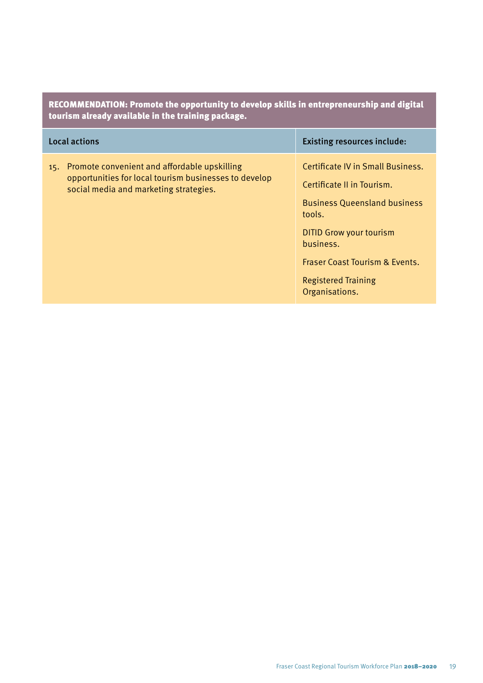| RECOMMENDATION: Promote the opportunity to develop skills in entrepreneurship and digital<br>tourism already available in the training package.        |                                                                                                                                                                                                                                                              |  |
|--------------------------------------------------------------------------------------------------------------------------------------------------------|--------------------------------------------------------------------------------------------------------------------------------------------------------------------------------------------------------------------------------------------------------------|--|
| <b>Local actions</b>                                                                                                                                   | <b>Existing resources include:</b>                                                                                                                                                                                                                           |  |
| Promote convenient and affordable upskilling<br>15.<br>opportunities for local tourism businesses to develop<br>social media and marketing strategies. | Certificate IV in Small Business.<br>Certificate II in Tourism.<br><b>Business Queensland business</b><br>tools.<br><b>DITID Grow your tourism</b><br>business.<br><b>Fraser Coast Tourism &amp; Events.</b><br><b>Registered Training</b><br>Organisations. |  |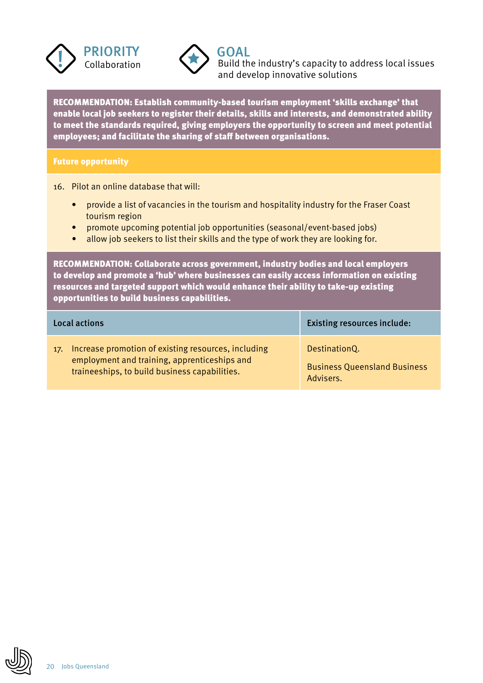



**PRIORITY**<br>  $\begin{array}{c}\n\bullet \\
\bullet \\
\bullet\n\end{array}$   $\begin{array}{c}\n\bullet \\
\bullet \\
\bullet \\
\bullet\n\end{array}$   $\begin{array}{c}\n\bullet \\
\bullet \\
\bullet \\
\bullet \\
\bullet\n\end{array}$  and  $\begin{array}{c}\n\bullet \\
\bullet \\
\bullet \\
\bullet \\
\bullet\n\end{array}$  and  $\begin{array}{c}\n\bullet \\
\bullet \\
\bullet \\
\bullet \\
\bullet\n\end{array}$  build the industry's capacity to address local issues and develop innovative solutions

RECOMMENDATION: Establish community-based tourism employment 'skills exchange' that enable local job seekers to register their details, skills and interests, and demonstrated ability to meet the standards required, giving employers the opportunity to screen and meet potential employees; and facilitate the sharing of staff between organisations.

#### Future opportunity

16. Pilot an online database that will:

- provide a list of vacancies in the tourism and hospitality industry for the Fraser Coast tourism region
- promote upcoming potential job opportunities (seasonal/event-based jobs)
- allow job seekers to list their skills and the type of work they are looking for.

RECOMMENDATION: Collaborate across government, industry bodies and local employers to develop and promote a 'hub' where businesses can easily access information on existing resources and targeted support which would enhance their ability to take-up existing opportunities to build business capabilities.

|     | Local actions                                                                                                                                        | <b>Existing resources include:</b>                                |
|-----|------------------------------------------------------------------------------------------------------------------------------------------------------|-------------------------------------------------------------------|
| 17. | Increase promotion of existing resources, including<br>employment and training, apprenticeships and<br>traineeships, to build business capabilities. | DestinationQ.<br><b>Business Queensland Business</b><br>Advisers. |

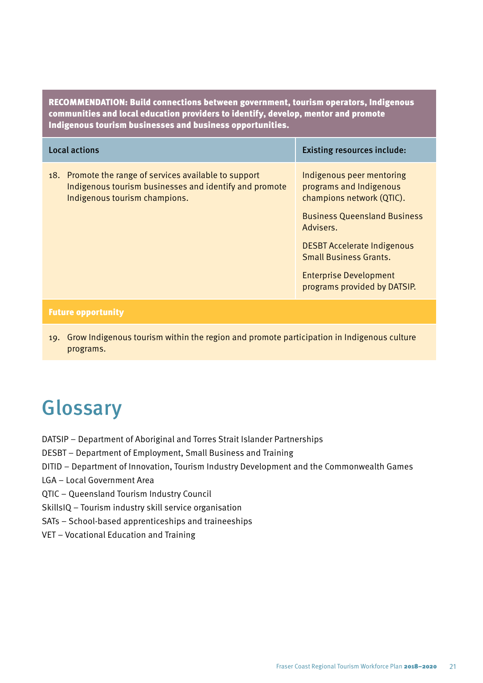RECOMMENDATION: Build connections between government, tourism operators, Indigenous communities and local education providers to identify, develop, mentor and promote Indigenous tourism businesses and business opportunities.

| Local actions                                                                                                                                     | <b>Existing resources include:</b>                                                                                                                                                                                                                                            |
|---------------------------------------------------------------------------------------------------------------------------------------------------|-------------------------------------------------------------------------------------------------------------------------------------------------------------------------------------------------------------------------------------------------------------------------------|
| 18. Promote the range of services available to support<br>Indigenous tourism businesses and identify and promote<br>Indigenous tourism champions. | Indigenous peer mentoring<br>programs and Indigenous<br>champions network (QTIC).<br><b>Business Queensland Business</b><br>Advisers.<br><b>DESBT Accelerate Indigenous</b><br><b>Small Business Grants.</b><br><b>Enterprise Development</b><br>programs provided by DATSIP. |
|                                                                                                                                                   |                                                                                                                                                                                                                                                                               |

#### Future opportunity

19. Grow Indigenous tourism within the region and promote participation in Indigenous culture programs.

## Glossary

- DATSIP Department of Aboriginal and Torres Strait Islander Partnerships
- DESBT Department of Employment, Small Business and Training
- DITID Department of Innovation, Tourism Industry Development and the Commonwealth Games
- LGA Local Government Area
- QTIC Queensland Tourism Industry Council
- SkillsIQ Tourism industry skill service organisation
- SATs School-based apprenticeships and traineeships
- VET Vocational Education and Training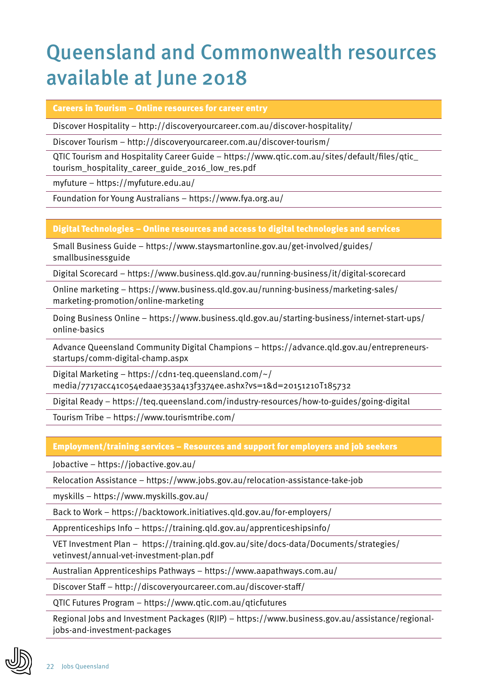## Queensland and Commonwealth resources available at June 2018

Careers in Tourism – Online resources for career entry

Discover Hospitality – http://discoveryourcareer.com.au/discover-hospitality/

Discover Tourism – http://discoveryourcareer.com.au/discover-tourism/

QTIC Tourism and Hospitality Career Guide – https://www.qtic.com.au/sites/default/files/qtic\_ tourism\_hospitality\_career\_guide\_2016\_low\_res.pdf

myfuture – https://myfuture.edu.au/

Foundation for Young Australians – https://www.fya.org.au/

### Digital Technologies – Online resources and access to digital technologies and services

Small Business Guide – https://www.staysmartonline.gov.au/get-involved/guides/ smallbusinessguide

Digital Scorecard – https://www.business.qld.gov.au/running-business/it/digital-scorecard

Online marketing – https://www.business.qld.gov.au/running-business/marketing-sales/ marketing-promotion/online-marketing

Doing Business Online – https://www.business.qld.gov.au/starting-business/internet-start-ups/ online-basics

Advance Queensland Community Digital Champions – https://advance.qld.gov.au/entrepreneursstartups/comm-digital-champ.aspx

Digital Marketing – https://cdn1-teq.queensland.com/ $\sim$ / media/7717acc41c054edaae353a413f3374ee.ashx?vs=1&d=20151210T185732

Digital Ready – https://teq.queensland.com/industry-resources/how-to-guides/going-digital

Tourism Tribe – https://www.tourismtribe.com/

Employment/training services – Resources and support for employers and job seekers

Jobactive – https://jobactive.gov.au/

Relocation Assistance – https://www.jobs.gov.au/relocation-assistance-take-job

myskills – https://www.myskills.gov.au/

Back to Work – https://backtowork.initiatives.qld.gov.au/for-employers/

Apprenticeships Info – https://training.qld.gov.au/apprenticeshipsinfo/

VET Investment Plan – https://training.qld.gov.au/site/docs-data/Documents/strategies/ vetinvest/annual-vet-investment-plan.pdf

Australian Apprenticeships Pathways – https://www.aapathways.com.au/

Discover Staff – http://discoveryourcareer.com.au/discover-staff/

QTIC Futures Program – https://www.qtic.com.au/qticfutures

Regional Jobs and Investment Packages (RJIP) – https://www.business.gov.au/assistance/regionaljobs-and-investment-packages

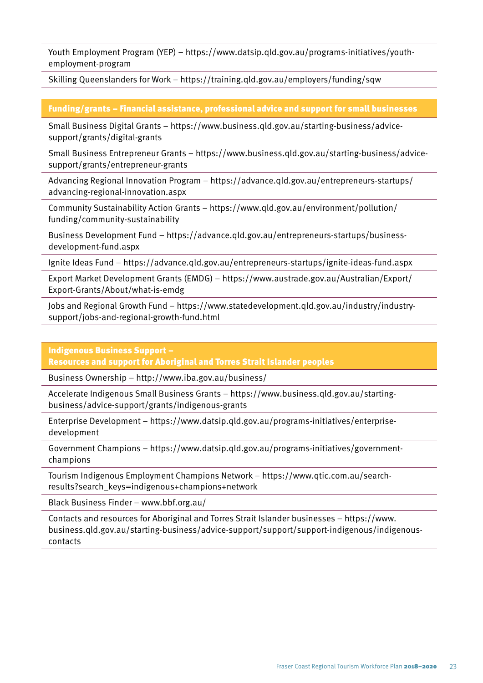Youth Employment Program (YEP) – https://www.datsip.qld.gov.au/programs-initiatives/youthemployment-program

Skilling Queenslanders for Work – https://training.qld.gov.au/employers/funding/sqw

### Funding/grants – Financial assistance, professional advice and support for small businesses

Small Business Digital Grants – https://www.business.qld.gov.au/starting-business/advicesupport/grants/digital-grants

Small Business Entrepreneur Grants – https://www.business.qld.gov.au/starting-business/advicesupport/grants/entrepreneur-grants

Advancing Regional Innovation Program – https://advance.qld.gov.au/entrepreneurs-startups/ advancing-regional-innovation.aspx

Community Sustainability Action Grants – https://www.qld.gov.au/environment/pollution/ funding/community-sustainability

Business Development Fund – https://advance.qld.gov.au/entrepreneurs-startups/businessdevelopment-fund.aspx

Ignite Ideas Fund – https://advance.qld.gov.au/entrepreneurs-startups/ignite-ideas-fund.aspx

Export Market Development Grants (EMDG) – https://www.austrade.gov.au/Australian/Export/ Export-Grants/About/what-is-emdg

Jobs and Regional Growth Fund – https://www.statedevelopment.qld.gov.au/industry/industrysupport/jobs-and-regional-growth-fund.html

Indigenous Business Support –

Resources and support for Aboriginal and Torres Strait Islander peoples

Business Ownership – http://www.iba.gov.au/business/

Accelerate Indigenous Small Business Grants – https://www.business.qld.gov.au/startingbusiness/advice-support/grants/indigenous-grants

Enterprise Development – https://www.datsip.qld.gov.au/programs-initiatives/enterprisedevelopment

Government Champions – https://www.datsip.qld.gov.au/programs-initiatives/governmentchampions

Tourism Indigenous Employment Champions Network – https://www.qtic.com.au/searchresults?search\_keys=indigenous+champions+network

Black Business Finder – www.bbf.org.au/

Contacts and resources for Aboriginal and Torres Strait Islander businesses – https://www. business.qld.gov.au/starting-business/advice-support/support/support-indigenous/indigenouscontacts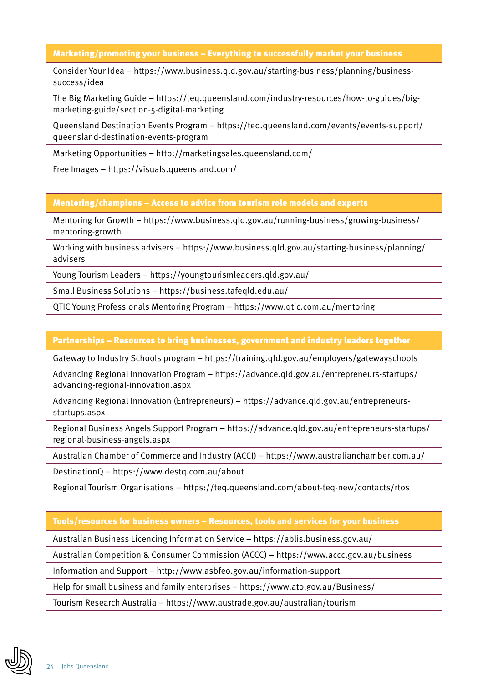Marketing/promoting your business – Everything to successfully market your business

Consider Your Idea – https://www.business.qld.gov.au/starting-business/planning/businesssuccess/idea

The Big Marketing Guide – https://teq.queensland.com/industry-resources/how-to-guides/bigmarketing-guide/section-5-digital-marketing

Queensland Destination Events Program – https://teq.queensland.com/events/events-support/ queensland-destination-events-program

Marketing Opportunities – http://marketingsales.queensland.com/

Free Images – https://visuals.queensland.com/

Mentoring/champions – Access to advice from tourism role models and experts

Mentoring for Growth – https://www.business.qld.gov.au/running-business/growing-business/ mentoring-growth

Working with business advisers – https://www.business.qld.gov.au/starting-business/planning/ advisers

Young Tourism Leaders – https://youngtourismleaders.qld.gov.au/

Small Business Solutions – https://business.tafeqld.edu.au/

QTIC Young Professionals Mentoring Program – https://www.qtic.com.au/mentoring

#### Partnerships – Resources to bring businesses, government and industry leaders together

Gateway to Industry Schools program – https://training.qld.gov.au/employers/gatewayschools

Advancing Regional Innovation Program – https://advance.qld.gov.au/entrepreneurs-startups/ advancing-regional-innovation.aspx

Advancing Regional Innovation (Entrepreneurs) – https://advance.qld.gov.au/entrepreneursstartups.aspx

Regional Business Angels Support Program – https://advance.qld.gov.au/entrepreneurs-startups/ regional-business-angels.aspx

Australian Chamber of Commerce and Industry (ACCI) – https://www.australianchamber.com.au/

DestinationQ – https://www.destq.com.au/about

Regional Tourism Organisations – https://teq.queensland.com/about-teq-new/contacts/rtos

### Tools/resources for business owners – Resources, tools and services for your business

Australian Business Licencing Information Service – https://ablis.business.gov.au/

Australian Competition & Consumer Commission (ACCC) – https://www.accc.gov.au/business

Information and Support – http://www.asbfeo.gov.au/information-support

Help for small business and family enterprises – https://www.ato.gov.au/Business/

Tourism Research Australia – https://www.austrade.gov.au/australian/tourism

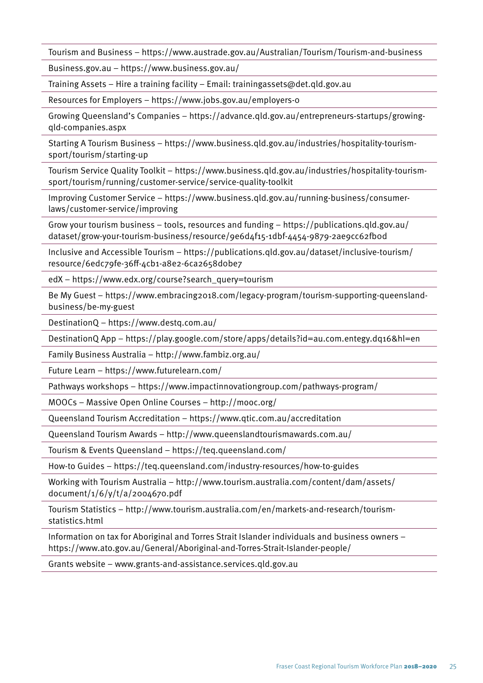Tourism and Business – https://www.austrade.gov.au/Australian/Tourism/Tourism-and-business

Business.gov.au – https://www.business.gov.au/

Training Assets – Hire a training facility – Email: trainingassets@det.qld.gov.au

Resources for Employers – https://www.jobs.gov.au/employers-0

Growing Queensland's Companies – https://advance.qld.gov.au/entrepreneurs-startups/growingqld-companies.aspx

Starting A Tourism Business – https://www.business.qld.gov.au/industries/hospitality-tourismsport/tourism/starting-up

Tourism Service Quality Toolkit – https://www.business.qld.gov.au/industries/hospitality-tourismsport/tourism/running/customer-service/service-quality-toolkit

Improving Customer Service – https://www.business.qld.gov.au/running-business/consumerlaws/customer-service/improving

Grow your tourism business – tools, resources and funding – https://publications.qld.gov.au/ dataset/grow-your-tourism-business/resource/9e6d4f15-1dbf-4454-9879-2ae9cc62fb0d

Inclusive and Accessible Tourism – https://publications.qld.gov.au/dataset/inclusive-tourism/ resource/6edc79fe-36ff-4cb1-a8e2-6ca2658d0be7

edX – https://www.edx.org/course?search\_query=tourism

Be My Guest – https://www.embracing2018.com/legacy-program/tourism-supporting-queenslandbusiness/be-my-guest

DestinationQ – https://www.destq.com.au/

DestinationQ App – https://play.google.com/store/apps/details?id=au.com.entegy.dq16&hl=en

Family Business Australia – http://www.fambiz.org.au/

Future Learn – https://www.futurelearn.com/

Pathways workshops – https://www.impactinnovationgroup.com/pathways-program/

MOOCs – Massive Open Online Courses – http://mooc.org/

Queensland Tourism Accreditation – https://www.qtic.com.au/accreditation

Queensland Tourism Awards – http://www.queenslandtourismawards.com.au/

Tourism & Events Queensland – https://teq.queensland.com/

How-to Guides – https://teq.queensland.com/industry-resources/how-to-guides

Working with Tourism Australia – http://www.tourism.australia.com/content/dam/assets/ document/1/6/y/t/a/2004670.pdf

Tourism Statistics – http://www.tourism.australia.com/en/markets-and-research/tourismstatistics.html

Information on tax for Aboriginal and Torres Strait Islander individuals and business owners – https://www.ato.gov.au/General/Aboriginal-and-Torres-Strait-Islander-people/

Grants website – www.grants-and-assistance.services.qld.gov.au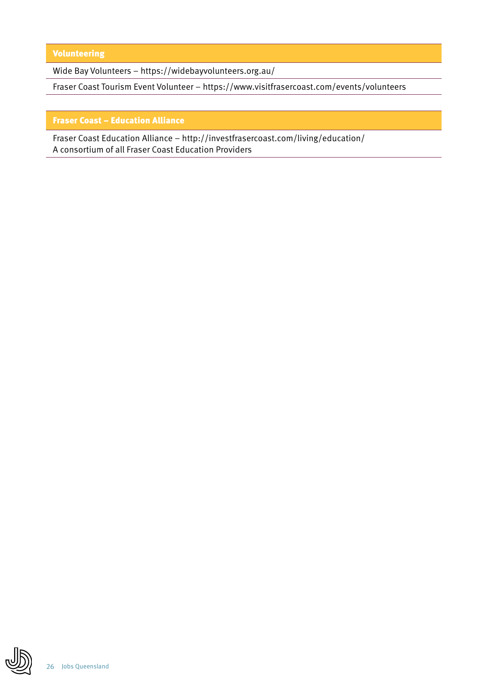Volunteering

Wide Bay Volunteers – https://widebayvolunteers.org.au/

Fraser Coast Tourism Event Volunteer – https://www.visitfrasercoast.com/events/volunteers

#### Fraser Coast – Education Alliance

Fraser Coast Education Alliance – http://investfrasercoast.com/living/education/ A consortium of all Fraser Coast Education Providers